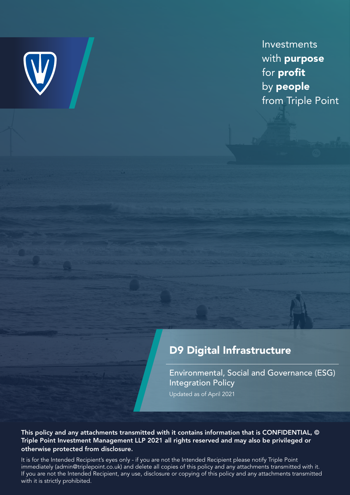

Investments with purpose for profit by people from Triple Point

## D9 Digital Infrastructure

Environmental, Social and Governance (ESG) Integration Policy Updated as of April 2021

This policy and any attachments transmitted with it contains information that is CONFIDENTIAL, © Triple Point Investment Management LLP 2021 all rights reserved and may also be privileged or otherwise protected from disclosure.

It is for the Intended Recipient's eyes only - if you are not the Intended Recipient please notify Triple Point immediately (admin@triplepoint.co.uk) and delete all copies of this policy and any attachments transmitted with it. If you are not the Intended Recipient, any use, disclosure or copying of this policy and any attachments transmitted with it is strictly prohibited.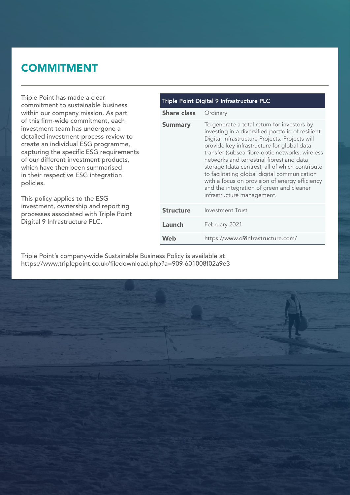## **COMMITMENT**

Triple Point has made a clear commitment to sustainable business within our company mission. As part of this firm-wide commitment, each investment team has undergone a detailed investment-process review to create an individual ESG programme, capturing the specific ESG requirements of our different investment products, which have then been summarised in their respective ESG integration policies.

This policy applies to the ESG investment, ownership and reporting processes associated with Triple Point Digital 9 Infrastructure PLC.

| Triple Point Digital 9 Infrastructure PLC |                                                                                                                                                                                                                                                                                                                                                                                                                                                                                                                                 |  |  |  |
|-------------------------------------------|---------------------------------------------------------------------------------------------------------------------------------------------------------------------------------------------------------------------------------------------------------------------------------------------------------------------------------------------------------------------------------------------------------------------------------------------------------------------------------------------------------------------------------|--|--|--|
| <b>Share class</b>                        | Ordinary                                                                                                                                                                                                                                                                                                                                                                                                                                                                                                                        |  |  |  |
| <b>Summary</b>                            | To generate a total return for investors by<br>investing in a diversified portfolio of resilient<br>Digital Infrastructure Projects. Projects will<br>provide key infrastructure for global data<br>transfer (subsea fibre-optic networks, wireless<br>networks and terrestrial fibres) and data<br>storage (data centres), all of which contribute<br>to facilitating global digital communication<br>with a focus on provision of energy efficiency<br>and the integration of green and cleaner<br>infrastructure management. |  |  |  |
| <b>Structure</b>                          | <b>Investment Trust</b>                                                                                                                                                                                                                                                                                                                                                                                                                                                                                                         |  |  |  |
| Launch                                    | February 2021                                                                                                                                                                                                                                                                                                                                                                                                                                                                                                                   |  |  |  |
| Web                                       | https://www.d9infrastructure.com/                                                                                                                                                                                                                                                                                                                                                                                                                                                                                               |  |  |  |

Triple Point's company-wide Sustainable Business Policy is available at https://www.triplepoint.co.uk/filedownload.php?a=909-601008f02a9e3

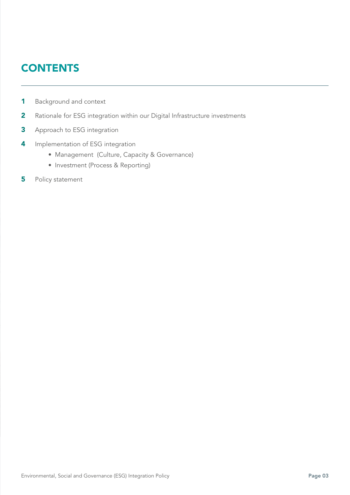# **CONTENTS**

- Background and context 1
- Rationale for ESG integration within our Digital Infrastructure investments 2
- Approach to ESG integration 3
- Implementation of ESG integration 4
	- Management (Culture, Capacity & Governance)
	- Investment (Process & Reporting)
- Policy statement 5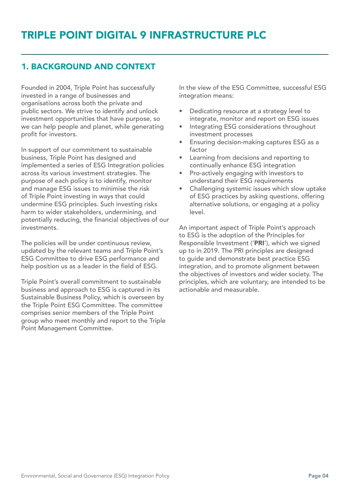## 1. BACKGROUND AND CONTEXT

Founded in 2004, Triple Point has successfully invested in a range of businesses and organisations across both the private and public sectors. We strive to identify and unlock investment opportunities that have purpose, so we can help people and planet, while generating profit for investors.

In support of our commitment to sustainable business, Triple Point has designed and implemented a series of ESG Integration policies across its various investment strategies. The purpose of each policy is to identify, monitor and manage ESG issues to minimise the risk of Triple Point investing in ways that could undermine ESG principles. Such investing risks harm to wider stakeholders, undermining, and potentially reducing, the financial objectives of our investments.

The policies will be under continuous review, updated by the relevant teams and Triple Point's ESG Committee to drive ESG performance and help position us as a leader in the field of ESG.

Triple Point's overall commitment to sustainable business and approach to ESG is captured in its Sustainable Business Policy, which is overseen by the Triple Point ESG Committee. The committee comprises senior members of the Triple Point group who meet monthly and report to the Triple Point Management Committee.

In the view of the ESG Committee, successful ESG integration means:

- Dedicating resource at a strategy level to integrate, monitor and report on ESG issues
- Integrating ESG considerations throughout investment processes
- Ensuring decision-making captures ESG as a factor
- Learning from decisions and reporting to continually enhance ESG integration
- Pro-actively engaging with investors to understand their ESG requirements
- Challenging systemic issues which slow uptake of ESG practices by asking questions, offering alternative solutions, or engaging at a policy level.

An important aspect of Triple Point's approach to ESG is the adoption of the Principles for Responsible Investment ('PRI'), which we signed up to in 2019. The PRI principles are designed to guide and demonstrate best practice ESG integration, and to promote alignment between the objectives of investors and wider society. The principles, which are voluntary, are intended to be actionable and measurable.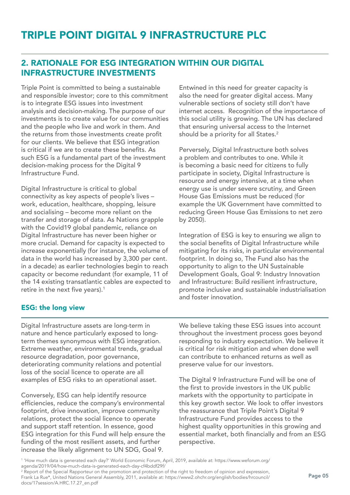### 2. RATIONALE FOR ESG INTEGRATION WITHIN OUR DIGITAL INFRASTRUCTURE INVESTMENTS

Triple Point is committed to being a sustainable and responsible investor; core to this commitment is to integrate ESG issues into investment analysis and decision-making. The purpose of our investments is to create value for our communities and the people who live and work in them. And the returns from those investments create profit for our clients. We believe that ESG integration is critical if we are to create these benefits. As such ESG is a fundamental part of the investment decision-making process for the Digital 9 Infrastructure Fund.

Digital Infrastructure is critical to global connectivity as key aspects of people's lives – work, education, healthcare, shopping, leisure and socialising – become more reliant on the transfer and storage of data. As Nations grapple with the Covid19 global pandemic, reliance on Digital Infrastructure has never been higher or more crucial. Demand for capacity is expected to increase exponentially (for instance, the volume of data in the world has increased by 3,300 per cent. in a decade) as earlier technologies begin to reach capacity or become redundant (for example, 11 of the 14 existing transatlantic cables are expected to retire in the next five years).<sup>1</sup>

Entwined in this need for greater capacity is also the need for greater digital access. Many vulnerable sections of society still don't have internet access. Recognition of the importance of this social utility is growing. The UN has declared that ensuring universal access to the Internet should be a priority for all States.<sup>2</sup>

Perversely, Digital Infrastructure both solves a problem and contributes to one. While it is becoming a basic need for citizens to fully participate in society, Digital Infrastructure is resource and energy intensive, at a time when energy use is under severe scrutiny, and Green House Gas Emissions must be reduced (for example the UK Government have committed to reducing Green House Gas Emissions to net zero by 2050).

Integration of ESG is key to ensuring we align to the social benefits of Digital Infrastructure while mitigating for its risks, in particular environmental footprint. In doing so, The Fund also has the opportunity to align to the UN Sustainable Development Goals, Goal 9: Industry Innovation and Infrastructure: Build resilient infrastructure, promote inclusive and sustainable industrialisation and foster innovation.

### ESG: the long view

Digital Infrastructure assets are long-term in nature and hence particularly exposed to longterm themes synonymous with ESG integration. Extreme weather, environmental trends, gradual resource degradation, poor governance, deteriorating community relations and potential loss of the social licence to operate are all examples of ESG risks to an operational asset.

Conversely, ESG can help identify resource efficiencies, reduce the company's environmental footprint, drive innovation, improve community relations, protect the social licence to operate and support staff retention. In essence, good ESG integration for this Fund will help ensure the funding of the most resilient assets, and further increase the likely alignment to UN SDG, Goal 9.

We believe taking these ESG issues into account throughout the investment process goes beyond responding to industry expectation. We believe it is critical for risk mitigation and when done well can contribute to enhanced returns as well as preserve value for our investors.

The Digital 9 Infrastructure Fund will be one of the first to provide investors in the UK public markets with the opportunity to participate in this key growth sector. We look to offer investors the reassurance that Triple Point's Digital 9 Infrastructure Fund provides access to the highest quality opportunities in this growing and essential market, both financially and from an ESG perspective.

1 'How much data is generated each day?' World Economic Forum, April, 2019, available at: https://www.weforum.org/ agenda/2019/04/how-much-data-is-generated-each-day-cf4bddf29f/

2 Report of the Special Rapporteur on the promotion and protection of the right to freedom of opinion and expression, Frank La Rue\*, United Nations General Assembly, 2011, available at: https://www2.ohchr.org/english/bodies/hrcouncil/ docs/17session/A.HRC.17.27\_en.pdf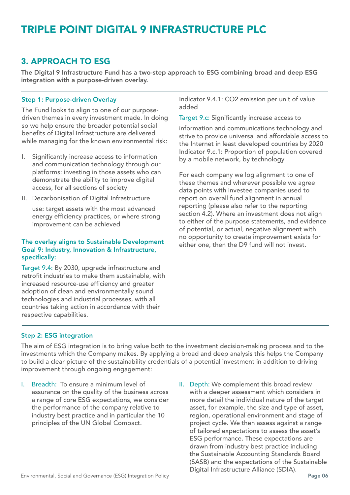### 3. APPROACH TO ESG

The Digital 9 Infrastructure Fund has a two-step approach to ESG combining broad and deep ESG integration with a purpose-driven overlay.

#### Step 1: Purpose-driven Overlay

The Fund looks to align to one of our purposedriven themes in every investment made. In doing so we help ensure the broader potential social benefits of Digital Infrastructure are delivered while managing for the known environmental risk:

- Significantly increase access to information and communication technology through our platforms: investing in those assets who can demonstrate the ability to improve digital access, for all sections of society
- II. Decarbonisation of Digital Infrastructure

use: target assets with the most advanced energy efficiency practices, or where strong improvement can be achieved

#### The overlay aligns to Sustainable Development Goal 9: Industry, Innovation & Infrastructure, specifically:

Target 9.4: By 2030, upgrade infrastructure and retrofit industries to make them sustainable, with increased resource-use efficiency and greater adoption of clean and environmentally sound technologies and industrial processes, with all countries taking action in accordance with their respective capabilities.

Indicator 9.4.1: CO2 emission per unit of value added

Target 9.c: Significantly increase access to

information and communications technology and strive to provide universal and affordable access to the Internet in least developed countries by 2020 Indicator 9.c.1: Proportion of population covered by a mobile network, by technology

For each company we log alignment to one of these themes and wherever possible we agree data points with investee companies used to report on overall fund alignment in annual reporting (please also refer to the reporting section 4.2). Where an investment does not align to either of the purpose statements, and evidence of potential, or actual, negative alignment with no opportunity to create improvement exists for either one, then the D9 fund will not invest.

#### Step 2: ESG integration

The aim of ESG integration is to bring value both to the investment decision-making process and to the investments which the Company makes. By applying a broad and deep analysis this helps the Company to build a clear picture of the sustainability credentials of a potential investment in addition to driving improvement through ongoing engagement:

- I. Breadth: To ensure a minimum level of assurance on the quality of the business across a range of core ESG expectations, we consider the performance of the company relative to industry best practice and in particular the 10 principles of the UN Global Compact.
- II. Depth: We complement this broad review with a deeper assessment which considers in more detail the individual nature of the target asset, for example, the size and type of asset, region, operational environment and stage of project cycle. We then assess against a range of tailored expectations to assess the asset's ESG performance. These expectations are drawn from industry best practice including the Sustainable Accounting Standards Board (SASB) and the expectations of the Sustainable Digital Infrastructure Alliance (SDIA).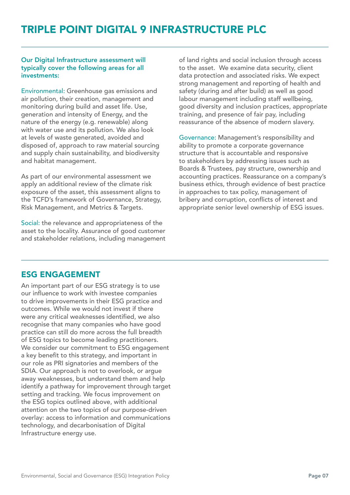## TRIPLE POINT DIGITAL 9 INFRASTRUCTURE PLC

#### Our Digital Infrastructure assessment will typically cover the following areas for all investments:

Environmental: Greenhouse gas emissions and air pollution, their creation, management and monitoring during build and asset life. Use, generation and intensity of Energy, and the nature of the energy (e.g. renewable) along with water use and its pollution. We also look at levels of waste generated, avoided and disposed of, approach to raw material sourcing and supply chain sustainability, and biodiversity and habitat management.

As part of our environmental assessment we apply an additional review of the climate risk exposure of the asset, this assessment aligns to the TCFD's framework of Governance, Strategy, Risk Management, and Metrics & Targets.

Social: the relevance and appropriateness of the asset to the locality. Assurance of good customer and stakeholder relations, including management of land rights and social inclusion through access to the asset. We examine data security, client data protection and associated risks. We expect strong management and reporting of health and safety (during and after build) as well as good labour management including staff wellbeing, good diversity and inclusion practices, appropriate training, and presence of fair pay, including reassurance of the absence of modern slavery.

Governance: Management's responsibility and ability to promote a corporate governance structure that is accountable and responsive to stakeholders by addressing issues such as Boards & Trustees, pay structure, ownership and accounting practices. Reassurance on a company's business ethics, through evidence of best practice in approaches to tax policy, management of bribery and corruption, conflicts of interest and appropriate senior level ownership of ESG issues.

### ESG ENGAGEMENT

An important part of our ESG strategy is to use our influence to work with investee companies to drive improvements in their ESG practice and outcomes. While we would not invest if there were any critical weaknesses identified, we also recognise that many companies who have good practice can still do more across the full breadth of ESG topics to become leading practitioners. We consider our commitment to ESG engagement a key benefit to this strategy, and important in our role as PRI signatories and members of the SDIA. Our approach is not to overlook, or argue away weaknesses, but understand them and help identify a pathway for improvement through target setting and tracking. We focus improvement on the ESG topics outlined above, with additional attention on the two topics of our purpose-driven overlay: access to information and communications technology, and decarbonisation of Digital Infrastructure energy use.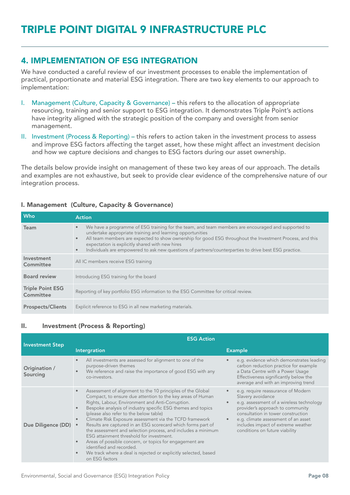### 4. IMPLEMENTATION OF ESG INTEGRATION

We have conducted a careful review of our investment processes to enable the implementation of practical, proportionate and material ESG integration. There are two key elements to our approach to implementation:

- I. Management (Culture, Capacity & Governance) this refers to the allocation of appropriate resourcing, training and senior support to ESG integration. It demonstrates Triple Point's actions have integrity aligned with the strategic position of the company and oversight from senior management.
- II. Investment (Process & Reporting) this refers to action taken in the investment process to assess and improve ESG factors affecting the target asset, how these might affect an investment decision and how we capture decisions and changes to ESG factors during our asset ownership.

The details below provide insight on management of these two key areas of our approach. The details and examples are not exhaustive, but seek to provide clear evidence of the comprehensive nature of our integration process.

#### I. Management (Culture, Capacity & Governance)

| Who                                  | <b>Action</b>                                                                                                                                                                                                                                                                                                                                                                                                                                                                  |
|--------------------------------------|--------------------------------------------------------------------------------------------------------------------------------------------------------------------------------------------------------------------------------------------------------------------------------------------------------------------------------------------------------------------------------------------------------------------------------------------------------------------------------|
| Team                                 | We have a programme of ESG training for the team, and team members are encouraged and supported to<br>$\bullet$<br>undertake appropriate training and learning opportunities<br>All team members are expected to show ownership for good ESG throughout the Investment Process, and this<br>$\bullet$<br>expectation is explicitly shared with new hires<br>Individuals are empowered to ask new questions of partners/counterparties to drive best ESG practice.<br>$\bullet$ |
| Investment<br>Committee              | All IC members receive ESG training                                                                                                                                                                                                                                                                                                                                                                                                                                            |
| <b>Board review</b>                  | Introducing ESG training for the board                                                                                                                                                                                                                                                                                                                                                                                                                                         |
| <b>Triple Point ESG</b><br>Committee | Reporting of key portfolio ESG information to the ESG Committee for critical review.                                                                                                                                                                                                                                                                                                                                                                                           |
| <b>Prospects/Clients</b>             | Explicit reference to ESG in all new marketing materials.                                                                                                                                                                                                                                                                                                                                                                                                                      |

#### II. Investment (Process & Reporting)

| <b>Investment Step</b>    | <b>ESG Action</b>                                                                                                                                                                                                                                                                                                                                                                                                                                                                                                                                                                                                                                                                                                                                                         |                                                                                                                                                                                                                                                                                                           |  |  |
|---------------------------|---------------------------------------------------------------------------------------------------------------------------------------------------------------------------------------------------------------------------------------------------------------------------------------------------------------------------------------------------------------------------------------------------------------------------------------------------------------------------------------------------------------------------------------------------------------------------------------------------------------------------------------------------------------------------------------------------------------------------------------------------------------------------|-----------------------------------------------------------------------------------------------------------------------------------------------------------------------------------------------------------------------------------------------------------------------------------------------------------|--|--|
|                           | Intergration                                                                                                                                                                                                                                                                                                                                                                                                                                                                                                                                                                                                                                                                                                                                                              | <b>Example</b>                                                                                                                                                                                                                                                                                            |  |  |
| Origination /<br>Sourcing | All investments are assessed for alignment to one of the<br>$\bullet$<br>purpose-driven themes<br>We reference and raise the importance of good ESG with any<br>$\bullet$<br>co-investors.                                                                                                                                                                                                                                                                                                                                                                                                                                                                                                                                                                                | e.g. evidence which demonstrates leading<br>carbon reduction practice for example<br>a Data Centre with a Power Usage<br>Effectiveness significantly below the<br>average and with an improving trend                                                                                                     |  |  |
| Due Diligence (DD)        | Assessment of alignment to the 10 principles of the Global<br>$\bullet$<br>Compact, to ensure due attention to the key areas of Human<br>Rights, Labour, Environment and Anti-Corruption.<br>Bespoke analysis of industry specific ESG themes and topics<br>$\bullet$<br>(please also refer to the below table)<br>Climate Risk Exposure assessment via the TCFD framework<br>$\bullet$<br>Results are captured in an ESG scorecard which forms part of<br>the assessment and selection process, and includes a minimum<br>ESG attainment threshold for investment.<br>Areas of possible concern, or topics for engagement are<br>$\bullet$<br>identified and recorded.<br>We track where a deal is rejected or explicitly selected, based<br>$\bullet$<br>on ESG factors | e.g. require reassurance of Modern<br>Slavery avoidance<br>e.g. assessment of a wireless technology<br>$\bullet$<br>provider's approach to community<br>consultation in tower construction<br>e.g. climate assessment of an asset<br>includes impact of extreme weather<br>conditions on future viability |  |  |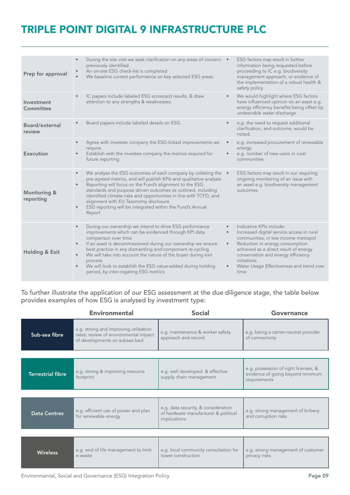# TRIPLE POINT DIGITAL 9 INFRASTRUCTURE PLC

| Prep for approval                    | During the site visit we seek clarification on any areas of concern .<br>previously identified<br>An on-site ESG check-list is completed<br>We baseline current performance on key selected ESG areas.                                                                                                                                                                                                                                                                                                         | ESG factors may result in further<br>information being requested before<br>proceeding to IC e.g. biodiversity<br>management approach, or evidence of<br>the implementation of a robust health &<br>safety policy                                                                                                                         |
|--------------------------------------|----------------------------------------------------------------------------------------------------------------------------------------------------------------------------------------------------------------------------------------------------------------------------------------------------------------------------------------------------------------------------------------------------------------------------------------------------------------------------------------------------------------|------------------------------------------------------------------------------------------------------------------------------------------------------------------------------------------------------------------------------------------------------------------------------------------------------------------------------------------|
| Investment<br>Committee              | IC papers include labeled ESG scorecard results, & draw<br>attention to any strengths & weaknesses.                                                                                                                                                                                                                                                                                                                                                                                                            | We would highlight where ESG factors<br>$\bullet$<br>have influenced opinion on an asset e.g.<br>energy efficiency benefits being offset by<br>undesirable water discharge.                                                                                                                                                              |
| Board/external<br>review             | Board papers include labeled details on ESG.                                                                                                                                                                                                                                                                                                                                                                                                                                                                   | e.g. the need to request additional<br>$\bullet$<br>clarification, and outcome, would be<br>noted.                                                                                                                                                                                                                                       |
| Execution                            | Agree with investee company the ESG-linked improvements we<br>require.<br>Establish with the investee company the metrics required for<br>future reporting                                                                                                                                                                                                                                                                                                                                                     | e.g. increased procurement of renewable<br>$\bullet$<br>energy<br>e.g. number of new users in rural<br>$\bullet$<br>communities                                                                                                                                                                                                          |
| <b>Monitoring &amp;</b><br>reporting | We analyse the ESG outcomes of each company by collating the •<br>$\bullet$<br>pre-agreed metrics, and will publish KPIs and qualitative analysis<br>Reporting will focus on the Fund's alignment to the ESG<br>$\bullet$<br>standards and purpose driven outcomes as outlined, including<br>identified climate risks and opportunities in line with TCFD, and<br>alignment with EU Taxonomy disclosure<br>ESG reporting will be integrated within the Fund's Annual<br>$\bullet$<br>Report                    | ESG factors may result in our requiring<br>ongoing monitoring of an issue with<br>an asset e.g. biodiversity management<br>outcomes.                                                                                                                                                                                                     |
| Holding & Exit                       | During our ownership we intend to drive ESG performance<br>$\bullet$<br>improvements which can be evidenced through KPI data<br>comparison over time<br>If an asset is decommissioned during our ownership we ensure<br>$\bullet$<br>best practice in any dismantling and component re-cycling<br>We will take into account the nature of the buyer during exit<br>$\bullet$<br>process<br>We will look to establish the ESG value-added during holding<br>$\bullet$<br>period, by inter-rogating ESG metrics. | Indicative KPIs include:<br>$\bullet$<br>Increased digital service access in rural<br>$\bullet$<br>communities; in low income metropol<br>Reduction in energy consumption<br>$\bullet$<br>achieved as a direct result of energy<br>conservation and energy efficiency<br>initiatives<br>Water Usage Effectiveness and trend over<br>time |

To further illustrate the application of our ESG assessment at the due diligence stage, the table below provides examples of how ESG is analysed by investment type:

|                          | <b>Environmental</b>                                                                                            | <b>Social</b>                                                                               | Governance                                                                               |
|--------------------------|-----------------------------------------------------------------------------------------------------------------|---------------------------------------------------------------------------------------------|------------------------------------------------------------------------------------------|
| Sub-sea fibre            | e.g. strong and improving utilisation<br>rates; review of environmental impact<br>of developments on subsea bed | e.g. maintenance & worker safety<br>approach and record                                     | e.g. being a carrier-neutral provider<br>of connectivity                                 |
|                          |                                                                                                                 |                                                                                             |                                                                                          |
| <b>Terrestrial fibre</b> | e.g. strong & improving resource<br>footprint                                                                   | e.g. well developed & effective<br>supply chain management                                  | e.g. possession of right licenses, &<br>evidence of going beyond minimum<br>requirements |
|                          |                                                                                                                 |                                                                                             |                                                                                          |
| <b>Data Centres</b>      | e.g. efficient use of power and plan<br>for renewable energy                                                    | e.g. data security, & consideration<br>of hardware manufacturer & political<br>implications | e.g. strong management of bribery<br>and corruption risks                                |
|                          |                                                                                                                 |                                                                                             |                                                                                          |
| <b>Wireless</b>          | e.g. end of life management to limit<br>e-waste                                                                 | e.g. local community consultation for<br>tower construction                                 | e.g. strong management of customer<br>privacy risks                                      |